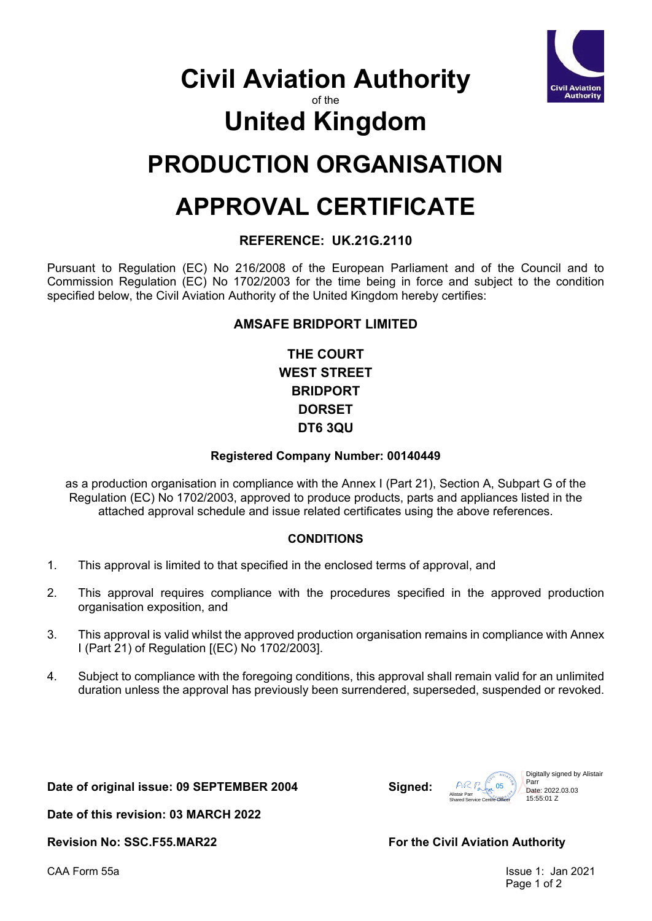

### **Civil Aviation Authority**

of the

# **United Kingdom**

# **PRODUCTION ORGANISATION**

# **APPROVAL CERTIFICATE**

### **REFERENCE: UK.21G.2110**

Pursuant to Regulation (EC) No 216/2008 of the European Parliament and of the Council and to Commission Regulation (EC) No 1702/2003 for the time being in force and subject to the condition specified below, the Civil Aviation Authority of the United Kingdom hereby certifies:

#### **AMSAFE BRIDPORT LIMITED**

**THE COURT WEST STREET BRIDPORT DORSET DT6 3QU**

#### **Registered Company Number: 00140449**

as a production organisation in compliance with the Annex I (Part 21), Section A, Subpart G of the Regulation (EC) No 1702/2003, approved to produce products, parts and appliances listed in the attached approval schedule and issue related certificates using the above references.

### **CONDITIONS**

- 1. This approval is limited to that specified in the enclosed terms of approval, and
- 2. This approval requires compliance with the procedures specified in the approved production organisation exposition, and
- 3. This approval is valid whilst the approved production organisation remains in compliance with Annex I (Part 21) of Regulation [(EC) No 1702/2003].
- 4. Subject to compliance with the foregoing conditions, this approval shall remain valid for an unlimited duration unless the approval has previously been surrendered, superseded, suspended or revoked.

**Date of original issue: 09 SEPTEMBER 2004 Signed:**



**Date of this revision: 03 MARCH 2022**

Revision No: SSC.F55.MAR22 **For the Civil Aviation Authority** 

CAA Form 55a Issue 1: Jan 2021 Page 1 of 2